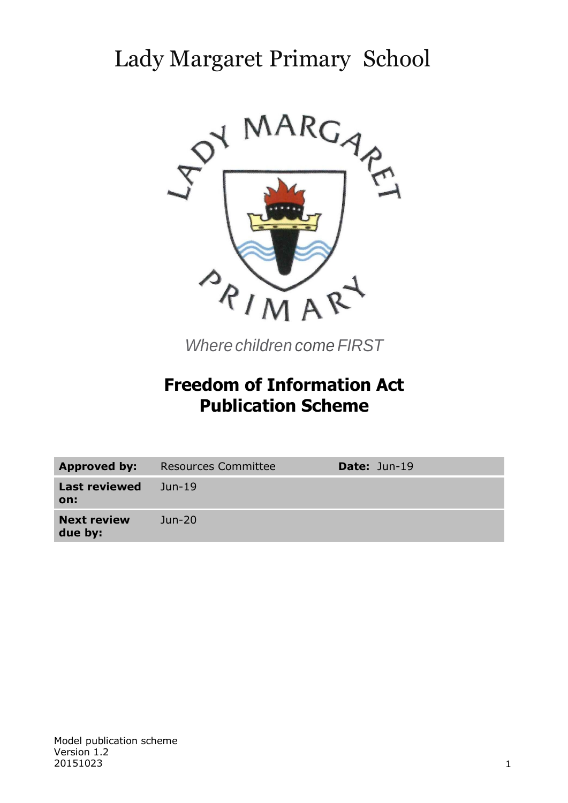# Lady Margaret Primary School



*Where children come FIRST*

# **Freedom of Information Act Publication Scheme**

| <b>Approved by:</b>           | <b>Resources Committee</b> | <b>Date: Jun-19</b> |
|-------------------------------|----------------------------|---------------------|
| <b>Last reviewed</b><br>on:   | Jun-19                     |                     |
| <b>Next review</b><br>due by: | $Jun-20$                   |                     |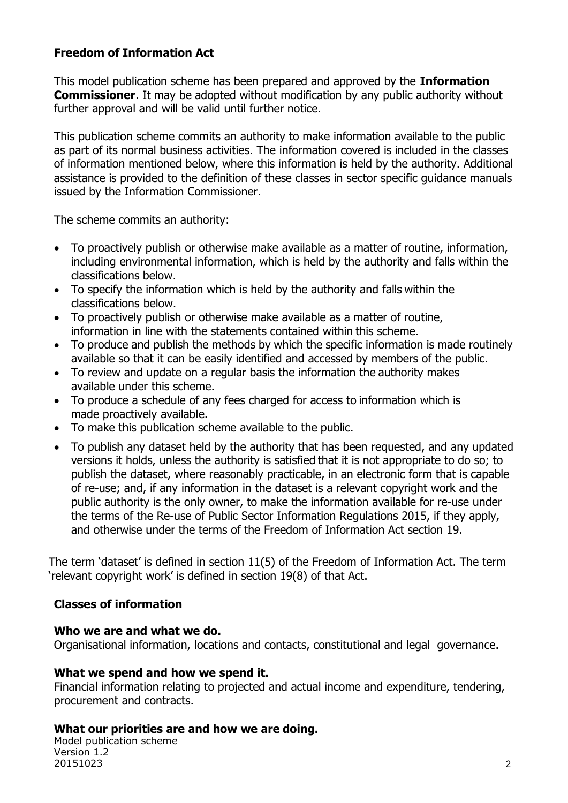# **Freedom of Information Act**

This model publication scheme has been prepared and approved by the **Information Commissioner.** It may be adopted without modification by any public authority without further approval and will be valid until further notice.

This publication scheme commits an authority to make information available to the public as part of its normal business activities. The information covered is included in the classes of information mentioned below, where this information is held by the authority. Additional assistance is provided to the definition of these classes in sector specific guidance manuals issued by the Information Commissioner.

The scheme commits an authority:

- To proactively publish or otherwise make available as a matter of routine, information, including environmental information, which is held by the authority and falls within the classifications below.
- To specify the information which is held by the authority and falls within the classifications below.
- To proactively publish or otherwise make available as a matter of routine, information in line with the statements contained within this scheme.
- To produce and publish the methods by which the specific information is made routinely available so that it can be easily identified and accessed by members of the public.
- To review and update on a regular basis the information the authority makes available under this scheme.
- To produce a schedule of any fees charged for access to information which is made proactively available.
- To make this publication scheme available to the public.
- To publish any dataset held by the authority that has been requested, and any updated versions it holds, unless the authority is satisfied that it is not appropriate to do so; to publish the dataset, where reasonably practicable, in an electronic form that is capable of re-use; and, if any information in the dataset is a relevant copyright work and the public authority is the only owner, to make the information available for re-use under the terms of the Re-use of Public Sector Information Regulations 2015, if they apply, and otherwise under the terms of the Freedom of Information Act section 19.

The term 'dataset' is defined in section 11(5) of the Freedom of Information Act. The term 'relevant copyright work' is defined in section 19(8) of that Act.

#### **Classes of information**

#### **Who we are and what we do.**

Organisational information, locations and contacts, constitutional and legal governance.

#### **What we spend and how we spend it.**

Financial information relating to projected and actual income and expenditure, tendering, procurement and contracts.

#### **What our priorities are and how we are doing.**

Model publication scheme Version 1.2 20151023 2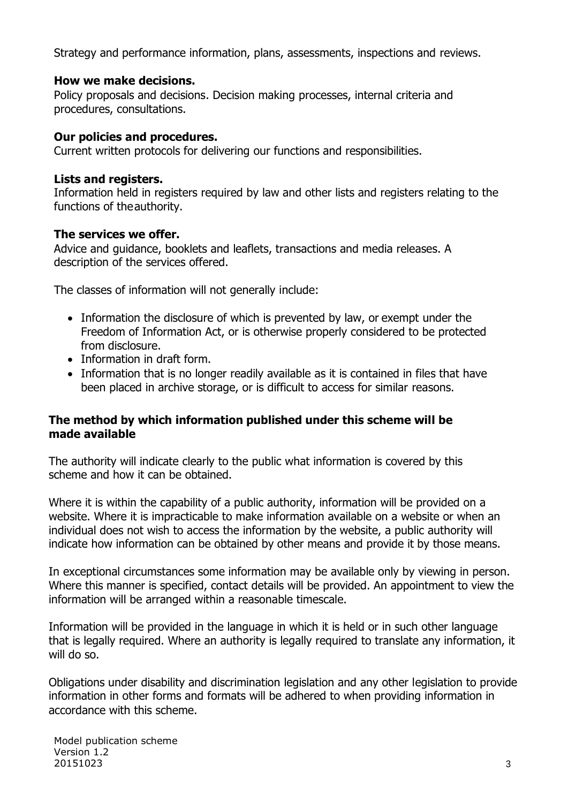Strategy and performance information, plans, assessments, inspections and reviews.

## **How we make decisions.**

Policy proposals and decisions. Decision making processes, internal criteria and procedures, consultations.

## **Our policies and procedures.**

Current written protocols for delivering our functions and responsibilities.

## **Lists and registers.**

Information held in registers required by law and other lists and registers relating to the functions of theauthority.

## **The services we offer.**

Advice and guidance, booklets and leaflets, transactions and media releases. A description of the services offered.

The classes of information will not generally include:

- Information the disclosure of which is prevented by law, or exempt under the Freedom of Information Act, or is otherwise properly considered to be protected from disclosure.
- Information in draft form.
- Information that is no longer readily available as it is contained in files that have been placed in archive storage, or is difficult to access for similar reasons.

## **The method by which information published under this scheme will be made available**

The authority will indicate clearly to the public what information is covered by this scheme and how it can be obtained.

Where it is within the capability of a public authority, information will be provided on a website. Where it is impracticable to make information available on a website or when an individual does not wish to access the information by the website, a public authority will indicate how information can be obtained by other means and provide it by those means.

In exceptional circumstances some information may be available only by viewing in person. Where this manner is specified, contact details will be provided. An appointment to view the information will be arranged within a reasonable timescale.

Information will be provided in the language in which it is held or in such other language that is legally required. Where an authority is legally required to translate any information, it will do so.

Obligations under disability and discrimination legislation and any other legislation to provide information in other forms and formats will be adhered to when providing information in accordance with this scheme.